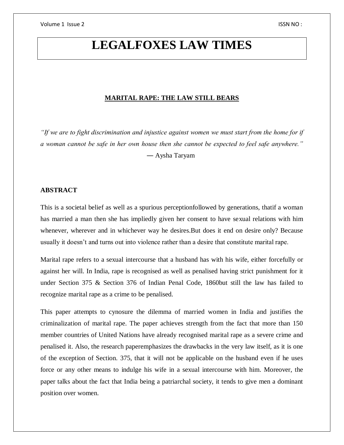# **LEGALFOXES LAW TIMES**

# **MARITAL RAPE: THE LAW STILL BEARS**

*"If we are to fight discrimination and injustice against women we must start from the home for if a woman cannot be safe in her own house then she cannot be expected to feel safe anywhere."* ― Aysha Taryam

# **ABSTRACT**

This is a societal belief as well as a spurious perceptionfollowed by generations, thatif a woman has married a man then she has impliedly given her consent to have sexual relations with him whenever, wherever and in whichever way he desires.But does it end on desire only? Because usually it doesn't and turns out into violence rather than a desire that constitute marital rape.

Marital rape refers to a sexual intercourse that a husband has with his wife, either forcefully or against her will. In India, rape is recognised as well as penalised having strict punishment for it under Section 375 & Section 376 of Indian Penal Code, 1860but still the law has failed to recognize marital rape as a crime to be penalised.

This paper attempts to cynosure the dilemma of married women in India and justifies the criminalization of marital rape. The paper achieves strength from the fact that more than 150 member countries of United Nations have already recognised marital rape as a severe crime and penalised it. Also, the research paperemphasizes the drawbacks in the very law itself, as it is one of the exception of Section. 375, that it will not be applicable on the husband even if he uses force or any other means to indulge his wife in a sexual intercourse with him. Moreover, the paper talks about the fact that India being a patriarchal society, it tends to give men a dominant position over women.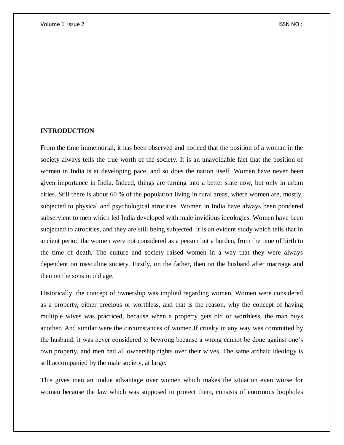# **INTRODUCTION**

From the time immemorial, it has been observed and noticed that the position of a woman in the society always tells the true worth of the society. It is an unavoidable fact that the position of women in India is at developing pace, and so does the nation itself. Women have never been given importance in India. Indeed, things are turning into a better state now, but only in urban cities. Still there is about 60 % of the population living in rural areas, where women are, mostly, subjected to physical and psychological atrocities. Women in India have always been pondered subservient to men which led India developed with male invidious ideologies. Women have been subjected to atrocities, and they are still being subjected. It is an evident study which tells that in ancient period the women were not considered as a person but a burden, from the time of birth to the time of death. The culture and society raised women in a way that they were always dependent on masculine society. Firstly, on the father, then on the husband after marriage and then on the sons in old age.

Historically, the concept of ownership was implied regarding women. Women were considered as a property, either precious or worthless, and that is the reason, why the concept of having multiple wives was practiced, because when a property gets old or worthless, the man buys another. And similar were the circumstances of women.If cruelty in any way was committed by the husband, it was never considered to bewrong because a wrong cannot be done against one's own property, and men had all ownership rights over their wives. The same archaic ideology is still accompanied by the male society, at large.

This gives men an undue advantage over women which makes the situation even worse for women because the law which was supposed to protect them, consists of enormous loopholes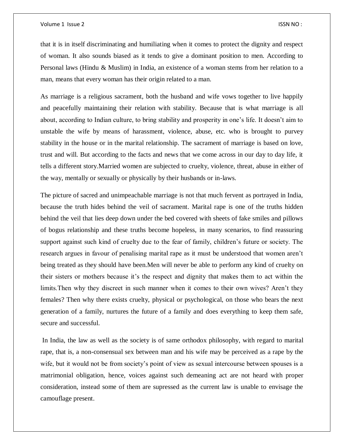#### Volume 1 Issue 2 ISSN NO :

that it is in itself discriminating and humiliating when it comes to protect the dignity and respect of woman. It also sounds biased as it tends to give a dominant position to men. According to Personal laws (Hindu & Muslim) in India, an existence of a woman stems from her relation to a man, means that every woman has their origin related to a man.

As marriage is a religious sacrament, both the husband and wife vows together to live happily and peacefully maintaining their relation with stability. Because that is what marriage is all about, according to Indian culture, to bring stability and prosperity in one's life. It doesn't aim to unstable the wife by means of harassment, violence, abuse, etc. who is brought to purvey stability in the house or in the marital relationship. The sacrament of marriage is based on love, trust and will. But according to the facts and news that we come across in our day to day life, it tells a different story.Married women are subjected to cruelty, violence, threat, abuse in either of the way, mentally or sexually or physically by their husbands or in-laws.

The picture of sacred and unimpeachable marriage is not that much fervent as portrayed in India, because the truth hides behind the veil of sacrament. Marital rape is one of the truths hidden behind the veil that lies deep down under the bed covered with sheets of fake smiles and pillows of bogus relationship and these truths become hopeless, in many scenarios, to find reassuring support against such kind of cruelty due to the fear of family, children's future or society. The research argues in favour of penalising marital rape as it must be understood that women aren't being treated as they should have been.Men will never be able to perform any kind of cruelty on their sisters or mothers because it's the respect and dignity that makes them to act within the limits.Then why they discreet in such manner when it comes to their own wives? Aren't they females? Then why there exists cruelty, physical or psychological, on those who bears the next generation of a family, nurtures the future of a family and does everything to keep them safe, secure and successful.

In India, the law as well as the society is of same orthodox philosophy, with regard to marital rape, that is, a non-consensual sex between man and his wife may be perceived as a rape by the wife, but it would not be from society's point of view as sexual intercourse between spouses is a matrimonial obligation, hence, voices against such demeaning act are not heard with proper consideration, instead some of them are supressed as the current law is unable to envisage the camouflage present.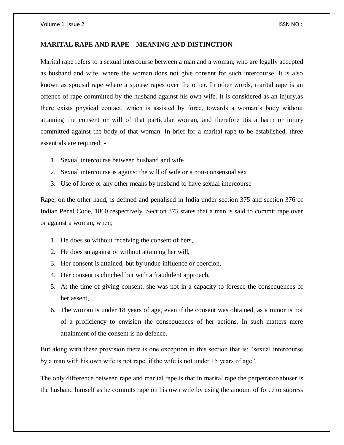# **MARITAL RAPE AND RAPE – MEANING AND DISTINCTION**

Marital rape refers to a sexual intercourse between a man and a woman, who are legally accepted as husband and wife, where the woman does not give consent for such intercourse. It is also known as spousal rape where a spouse rapes over the other. In other words, marital rape is an offence of rape committed by the husband against his own wife. It is considered as an injury,as there exists physical contact, which is assisted by force, towards a woman's body without attaining the consent or will of that particular woman, and therefore itis a harm or injury committed against the body of that woman. In brief for a marital rape to be established, three essentials are required: -

- 1. Sexual intercourse between husband and wife
- 2. Sexual intercourse is against the will of wife or a non-consensual sex
- 3. Use of force or any other means by husband to have sexual intercourse

Rape, on the other hand, is defined and penalised in India under section 375 and section 376 of Indian Penal Code, 1860 respectively. Section 375 states that a man is said to commit rape over or against a woman, when;

- 1. He does so without receiving the consent of hers,
- 2. He does so against or without attaining her will,
- 3. Her consent is attained, but by undue influence or coercion,
- 4. Her consent is clinched but with a fraudulent approach,
- 5. At the time of giving consent, she was not in a capacity to foresee the consequences of her assent,
- 6. The woman is under 18 years of age, even if the consent was obtained, as a minor is not of a proficiency to envision the consequences of her actions. In such matters mere attainment of the consent is no defence.

But along with these provision there is one exception in this section that is; "sexual intercourse by a man with his own wife is not rape, if the wife is not under 15 years of age".

The only difference between rape and marital rape is that in marital rape the perpetrator/abuser is the husband himself as he commits rape on his own wife by using the amount of force to supress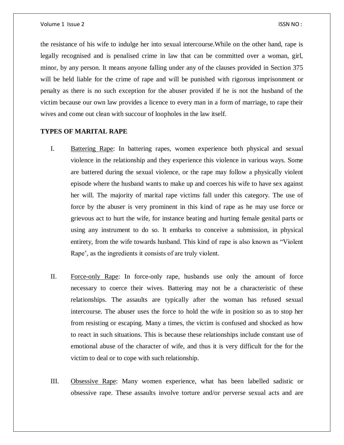the resistance of his wife to indulge her into sexual intercourse.While on the other hand, rape is legally recognised and is penalised crime in law that can be committed over a woman, girl, minor, by any person. It means anyone falling under any of the clauses provided in Section 375 will be held liable for the crime of rape and will be punished with rigorous imprisonment or penalty as there is no such exception for the abuser provided if he is not the husband of the victim because our own law provides a licence to every man in a form of marriage, to rape their wives and come out clean with succour of loopholes in the law itself.

# **TYPES OF MARITAL RAPE**

- I. Battering Rape: In battering rapes, women experience both physical and sexual violence in the relationship and they experience this violence in various ways. Some are battered during the sexual violence, or the rape may follow a physically violent episode where the husband wants to make up and coerces his wife to have sex against her will. The majority of marital rape victims fall under this category. The use of force by the abuser is very prominent in this kind of rape as he may use force or grievous act to hurt the wife, for instance beating and hurting female genital parts or using any instrument to do so. It embarks to conceive a submission, in physical entirety, from the wife towards husband. This kind of rape is also known as "Violent Rape', as the ingredients it consists of are truly violent.
- II. Force-only Rape: In force-only rape, husbands use only the amount of force necessary to coerce their wives. Battering may not be a characteristic of these relationships. The assaults are typically after the woman has refused sexual intercourse. The abuser uses the force to hold the wife in position so as to stop her from resisting or escaping. Many a times, the victim is confused and shocked as how to react in such situations. This is because these relationships include constant use of emotional abuse of the character of wife, and thus it is very difficult for the for the victim to deal or to cope with such relationship.
- III. Obsessive Rape: Many women experience, what has been labelled sadistic or obsessive rape. These assaults involve torture and/or perverse sexual acts and are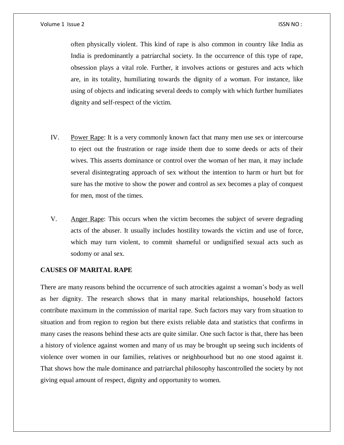#### Volume 1 Issue 2 ISSN NO :

often physically violent. This kind of rape is also common in country like India as India is predominantly a patriarchal society. In the occurrence of this type of rape, obsession plays a vital role. Further, it involves actions or gestures and acts which are, in its totality, humiliating towards the dignity of a woman. For instance, like using of objects and indicating several deeds to comply with which further humiliates dignity and self-respect of the victim.

- IV. Power Rape: It is a very commonly known fact that many men use sex or intercourse to eject out the frustration or rage inside them due to some deeds or acts of their wives. This asserts dominance or control over the woman of her man, it may include several disintegrating approach of sex without the intention to harm or hurt but for sure has the motive to show the power and control as sex becomes a play of conquest for men, most of the times.
- V. Anger Rape: This occurs when the victim becomes the subject of severe degrading acts of the abuser. It usually includes hostility towards the victim and use of force, which may turn violent, to commit shameful or undignified sexual acts such as sodomy or anal sex.

# **CAUSES OF MARITAL RAPE**

There are many reasons behind the occurrence of such atrocities against a woman's body as well as her dignity. The research shows that in many marital relationships, household factors contribute maximum in the commission of marital rape. Such factors may vary from situation to situation and from region to region but there exists reliable data and statistics that confirms in many cases the reasons behind these acts are quite similar. One such factor is that, there has been a history of violence against women and many of us may be brought up seeing such incidents of violence over women in our families, relatives or neighbourhood but no one stood against it. That shows how the male dominance and patriarchal philosophy hascontrolled the society by not giving equal amount of respect, dignity and opportunity to women.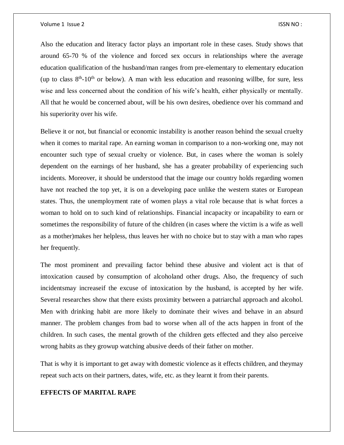#### Volume 1 Issue 2 ISSN NO :

Also the education and literacy factor plays an important role in these cases. Study shows that around 65-70 % of the violence and forced sex occurs in relationships where the average education qualification of the husband/man ranges from pre-elementary to elementary education (up to class  $8<sup>th</sup>$ -10<sup>th</sup> or below). A man with less education and reasoning willbe, for sure, less wise and less concerned about the condition of his wife's health, either physically or mentally. All that he would be concerned about, will be his own desires, obedience over his command and his superiority over his wife.

Believe it or not, but financial or economic instability is another reason behind the sexual cruelty when it comes to marital rape. An earning woman in comparison to a non-working one, may not encounter such type of sexual cruelty or violence. But, in cases where the woman is solely dependent on the earnings of her husband, she has a greater probability of experiencing such incidents. Moreover, it should be understood that the image our country holds regarding women have not reached the top yet, it is on a developing pace unlike the western states or European states. Thus, the unemployment rate of women plays a vital role because that is what forces a woman to hold on to such kind of relationships. Financial incapacity or incapability to earn or sometimes the responsibility of future of the children (in cases where the victim is a wife as well as a mother)makes her helpless, thus leaves her with no choice but to stay with a man who rapes her frequently.

The most prominent and prevailing factor behind these abusive and violent act is that of intoxication caused by consumption of alcoholand other drugs. Also, the frequency of such incidentsmay increaseif the excuse of intoxication by the husband, is accepted by her wife. Several researches show that there exists proximity between a patriarchal approach and alcohol. Men with drinking habit are more likely to dominate their wives and behave in an absurd manner. The problem changes from bad to worse when all of the acts happen in front of the children. In such cases, the mental growth of the children gets effected and they also perceive wrong habits as they growup watching abusive deeds of their father on mother.

That is why it is important to get away with domestic violence as it effects children, and theymay repeat such acts on their partners, dates, wife, etc. as they learnt it from their parents.

# **EFFECTS OF MARITAL RAPE**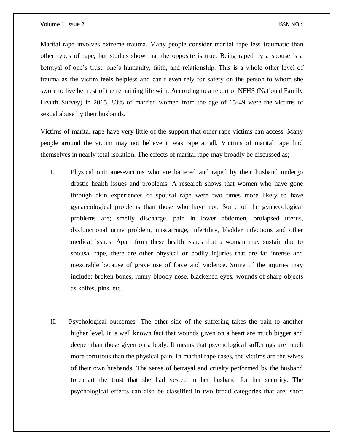Marital rape involves extreme trauma. Many people consider marital rape less traumatic than other types of rape, but studies show that the opposite is true. Being raped by a spouse is a betrayal of one's trust, one's humanity, faith, and relationship. This is a whole other level of trauma as the victim feels helpless and can't even rely for safety on the person to whom she swore to live her rest of the remaining life with. According to a report of NFHS (National Family Health Survey) in 2015, 83% of married women from the age of 15-49 were the victims of sexual abuse by their husbands.

Victims of marital rape have very little of the support that other rape victims can access. Many people around the victim may not believe it was rape at all. Victims of marital rape find themselves in nearly total isolation. The effects of marital rape may broadly be discussed as;

- I. Physical outcomes-victims who are battered and raped by their husband undergo drastic health issues and problems. A research shows that women who have gone through akin experiences of spousal rape were two times more likely to have gynaecological problems than those who have not. Some of the gynaecological problems are; smelly discharge, pain in lower abdomen, prolapsed uterus, dysfunctional urine problem, miscarriage, infertility, bladder infections and other medical issues. Apart from these health issues that a woman may sustain due to spousal rape, there are other physical or bodily injuries that are far intense and inexorable because of grave use of force and violence. Some of the injuries may include; broken bones, runny bloody nose, blackened eyes, wounds of sharp objects as knifes, pins, etc.
- II. Psychological outcomes- The other side of the suffering takes the pain to another higher level. It is well known fact that wounds given on a heart are much bigger and deeper than those given on a body. It means that psychological sufferings are much more torturous than the physical pain. In marital rape cases, the victims are the wives of their own husbands. The sense of betrayal and cruelty performed by the husband toreapart the trust that she had vested in her husband for her security. The psychological effects can also be classified in two broad categories that are; short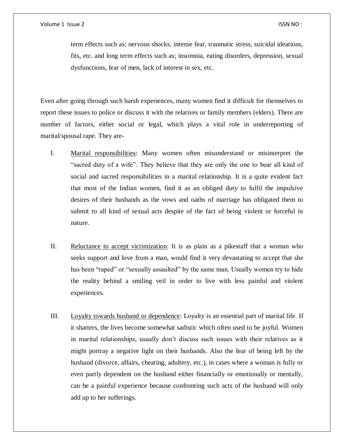term effects such as; nervous shocks, intense fear, traumatic stress, suicidal ideations, fits, etc. and long term effects such as; insomnia, eating disorders, depression, sexual dysfunctions, fear of men, lack of interest in sex, etc.

Even after going through such harsh experiences, many women find it difficult for themselves to report these issues to police or discuss it with the relatives or family members (elders). There are number of factors, either social or legal, which plays a vital role in underreporting of marital/spousal rape. They are-

- I. Marital responsibilities: Many women often misunderstand or misinterpret the "sacred duty of a wife". They believe that they are only the one to bear all kind of social and sacred responsibilities in a marital relationship. It is a quite evident fact that most of the Indian women, find it as an obliged duty to fulfil the impulsive desires of their husbands as the vows and oaths of marriage has obligated them to submit to all kind of sexual acts despite of the fact of being violent or forceful in nature.
- II. Reluctance to accept victimization: It is as plain as a pikestaff that a woman who seeks support and love from a man, would find it very devastating to accept that she has been "raped" or "sexually assaulted" by the same man. Usually women try to hide the reality behind a smiling veil in order to live with less painful and violent experiences.
- III. Loyalty towards husband or dependence: Loyalty is an essential part of marital life. If it shatters, the lives become somewhat sadistic which often used to be joyful. Women in marital relationships, usually don't discuss such issues with their relatives as it might portray a negative light on their husbands. Also the fear of being left by the husband (divorce, affairs, cheating, adultery, etc.), in cases where a woman is fully or even partly dependent on the husband either financially or emotionally or mentally, can be a painful experience because confronting such acts of the husband will only add up to her sufferings.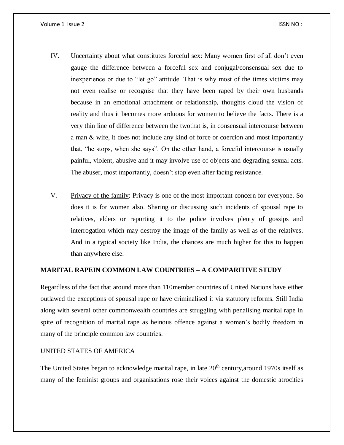- IV. Uncertainty about what constitutes forceful sex: Many women first of all don't even gauge the difference between a forceful sex and conjugal/consensual sex due to inexperience or due to "let go" attitude. That is why most of the times victims may not even realise or recognise that they have been raped by their own husbands because in an emotional attachment or relationship, thoughts cloud the vision of reality and thus it becomes more arduous for women to believe the facts. There is a very thin line of difference between the twothat is, in consensual intercourse between a man & wife, it does not include any kind of force or coercion and most importantly that, "he stops, when she says". On the other hand, a forceful intercourse is usually painful, violent, abusive and it may involve use of objects and degrading sexual acts. The abuser, most importantly, doesn't stop even after facing resistance.
- V. Privacy of the family: Privacy is one of the most important concern for everyone. So does it is for women also. Sharing or discussing such incidents of spousal rape to relatives, elders or reporting it to the police involves plenty of gossips and interrogation which may destroy the image of the family as well as of the relatives. And in a typical society like India, the chances are much higher for this to happen than anywhere else.

# **MARITAL RAPEIN COMMON LAW COUNTRIES – A COMPARITIVE STUDY**

Regardless of the fact that around more than 110member countries of United Nations have either outlawed the exceptions of spousal rape or have criminalised it via statutory reforms. Still India along with several other commonwealth countries are struggling with penalising marital rape in spite of recognition of marital rape as heinous offence against a women's bodily freedom in many of the principle common law countries.

# UNITED STATES OF AMERICA

The United States began to acknowledge marital rape, in late  $20<sup>th</sup>$  century, around 1970s itself as many of the feminist groups and organisations rose their voices against the domestic atrocities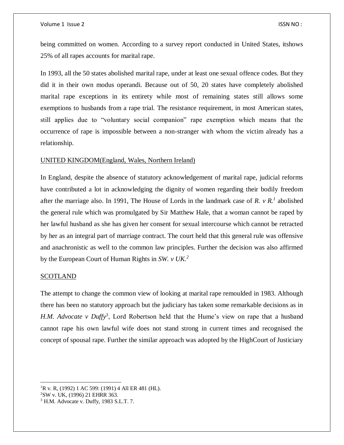being committed on women. According to a survey report conducted in United States, itshows 25% of all rapes accounts for marital rape.

In 1993, all the 50 states abolished marital rape, under at least one sexual offence codes. But they did it in their own modus operandi. Because out of 50, 20 states have completely abolished marital rape exceptions in its entirety while most of remaining states still allows some exemptions to husbands from a rape trial. The resistance requirement, in most American states, still applies due to "voluntary social companion" rape exemption which means that the occurrence of rape is impossible between a non-stranger with whom the victim already has a relationship.

### UNITED KINGDOM(England, Wales, Northern Ireland)

In England, despite the absence of statutory acknowledgement of marital rape, judicial reforms have contributed a lot in acknowledging the dignity of women regarding their bodily freedom after the marriage also. In 1991, The House of Lords in the landmark case of *R. v R.<sup>1</sup>* abolished the general rule which was promulgated by Sir Matthew Hale, that a woman cannot be raped by her lawful husband as she has given her consent for sexual intercourse which cannot be retracted by her as an integral part of marriage contract. The court held that this general rule was offensive and anachronistic as well to the common law principles. Further the decision was also affirmed by the European Court of Human Rights in *SW. v UK.<sup>2</sup>*

# SCOTLAND

The attempt to change the common view of looking at marital rape remoulded in 1983. Although there has been no statutory approach but the judiciary has taken some remarkable decisions as in H.M. Advocate v Duffy<sup>3</sup>, Lord Robertson held that the Hume's view on rape that a husband cannot rape his own lawful wife does not stand strong in current times and recognised the concept of spousal rape. Further the similar approach was adopted by the HighCourt of Justiciary

 $\overline{a}$  ${}^{1}R$  v. R, (1992) 1 AC 599: (1991) 4 All ER 481 (HL).

<sup>2</sup>SW v. UK, (1996) 21 EHRR 363.

<sup>3</sup> H.M. Advocate v. Duffy, 1983 S.L.T. 7.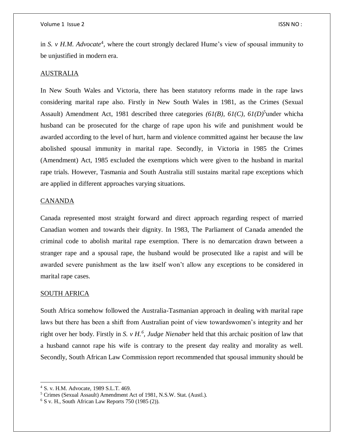in *S. v H.M. Advocate*<sup>4</sup>, where the court strongly declared Hume's view of spousal immunity to be unjustified in modern era.

### AUSTRALIA

In New South Wales and Victoria, there has been statutory reforms made in the rape laws considering marital rape also. Firstly in New South Wales in 1981, as the Crimes (Sexual Assault) Amendment Act, 1981 described three categories  $(61/B)$ ,  $61(C)$ ,  $61(D)$ <sup>5</sup>under whicha husband can be prosecuted for the charge of rape upon his wife and punishment would be awarded according to the level of hurt, harm and violence committed against her because the law abolished spousal immunity in marital rape. Secondly, in Victoria in 1985 the Crimes (Amendment) Act, 1985 excluded the exemptions which were given to the husband in marital rape trials. However, Tasmania and South Australia still sustains marital rape exceptions which are applied in different approaches varying situations.

# **CANANDA**

Canada represented most straight forward and direct approach regarding respect of married Canadian women and towards their dignity. In 1983, The Parliament of Canada amended the criminal code to abolish marital rape exemption. There is no demarcation drawn between a stranger rape and a spousal rape, the husband would be prosecuted like a rapist and will be awarded severe punishment as the law itself won't allow any exceptions to be considered in marital rape cases.

#### SOUTH AFRICA

 $\overline{a}$ 

South Africa somehow followed the Australia-Tasmanian approach in dealing with marital rape laws but there has been a shift from Australian point of view towardswomen's integrity and her right over her body. Firstly in *S. v H.<sup>6</sup>*, *Judge Nienaber* held that this archaic position of law that a husband cannot rape his wife is contrary to the present day reality and morality as well. Secondly, South African Law Commission report recommended that spousal immunity should be

<sup>4</sup> S. v. H.M. Advocate, 1989 S.L.T. 469.

<sup>5</sup> Crimes (Sexual Assault) Amendment Act of 1981, N.S.W. Stat. (Austl.).

 $6$  S v. H., South African Law Reports 750 (1985 (2)).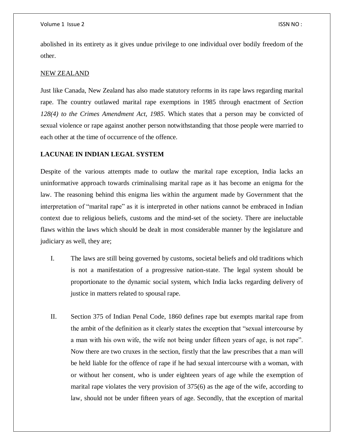abolished in its entirety as it gives undue privilege to one individual over bodily freedom of the other.

#### NEW ZEALAND

Just like Canada, New Zealand has also made statutory reforms in its rape laws regarding marital rape. The country outlawed marital rape exemptions in 1985 through enactment of *Section 128(4) to the Crimes Amendment Act, 1985*. Which states that a person may be convicted of sexual violence or rape against another person notwithstanding that those people were married to each other at the time of occurrence of the offence.

# **LACUNAE IN INDIAN LEGAL SYSTEM**

Despite of the various attempts made to outlaw the marital rape exception, India lacks an uninformative approach towards criminalising marital rape as it has become an enigma for the law. The reasoning behind this enigma lies within the argument made by Government that the interpretation of "marital rape" as it is interpreted in other nations cannot be embraced in Indian context due to religious beliefs, customs and the mind-set of the society. There are ineluctable flaws within the laws which should be dealt in most considerable manner by the legislature and judiciary as well, they are;

- I. The laws are still being governed by customs, societal beliefs and old traditions which is not a manifestation of a progressive nation-state. The legal system should be proportionate to the dynamic social system, which India lacks regarding delivery of justice in matters related to spousal rape.
- II. Section 375 of Indian Penal Code, 1860 defines rape but exempts marital rape from the ambit of the definition as it clearly states the exception that "sexual intercourse by a man with his own wife, the wife not being under fifteen years of age, is not rape". Now there are two cruxes in the section, firstly that the law prescribes that a man will be held liable for the offence of rape if he had sexual intercourse with a woman, with or without her consent, who is under eighteen years of age while the exemption of marital rape violates the very provision of 375(6) as the age of the wife, according to law, should not be under fifteen years of age. Secondly, that the exception of marital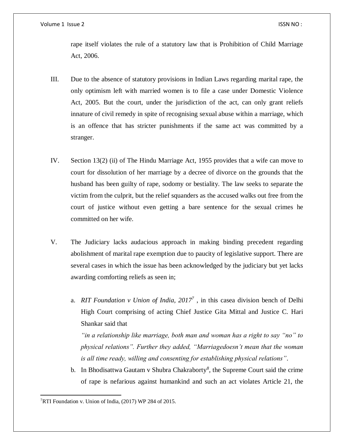rape itself violates the rule of a statutory law that is Prohibition of Child Marriage Act, 2006.

- III. Due to the absence of statutory provisions in Indian Laws regarding marital rape, the only optimism left with married women is to file a case under Domestic Violence Act, 2005. But the court, under the jurisdiction of the act, can only grant reliefs innature of civil remedy in spite of recognising sexual abuse within a marriage, which is an offence that has stricter punishments if the same act was committed by a stranger.
- IV. Section 13(2) (ii) of The Hindu Marriage Act, 1955 provides that a wife can move to court for dissolution of her marriage by a decree of divorce on the grounds that the husband has been guilty of rape, sodomy or bestiality. The law seeks to separate the victim from the culprit, but the relief squanders as the accused walks out free from the court of justice without even getting a bare sentence for the sexual crimes he committed on her wife.
- V. The Judiciary lacks audacious approach in making binding precedent regarding abolishment of marital rape exemption due to paucity of legislative support. There are several cases in which the issue has been acknowledged by the judiciary but yet lacks awarding comforting reliefs as seen in;
	- a. *RIT Foundation v Union of India, 2017<sup>7</sup>* , in this casea division bench of Delhi High Court comprising of acting Chief Justice Gita Mittal and Justice C. Hari Shankar said that

*"in a relationship like marriage, both man and woman has a right to say "no" to physical relations". Further they added, "Marriagedoesn't mean that the woman is all time ready, willing and consenting for establishing physical relations"*.

b. In Bhodisattwa Gautam v Shubra Chakraborty*<sup>8</sup>* , the Supreme Court said the crime of rape is nefarious against humankind and such an act violates Article 21, the

 $\overline{a}$ 7RTI Foundation v. Union of India, (2017) WP 284 of 2015.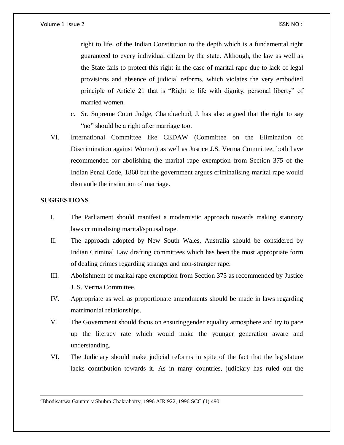right to life, of the Indian Constitution to the depth which is a fundamental right guaranteed to every individual citizen by the state. Although, the law as well as the State fails to protect this right in the case of marital rape due to lack of legal provisions and absence of judicial reforms, which violates the very embodied principle of Article 21 that is "Right to life with dignity, personal liberty" of married women.

- c. Sr. Supreme Court Judge, Chandrachud, J. has also argued that the right to say "no" should be a right after marriage too.
- VI. International Committee like CEDAW (Committee on the Elimination of Discrimination against Women) as well as Justice J.S. Verma Committee, both have recommended for abolishing the marital rape exemption from Section 375 of the Indian Penal Code, 1860 but the government argues criminalising marital rape would dismantle the institution of marriage.

# **SUGGESTIONS**

 $\overline{a}$ 

- I. The Parliament should manifest a modernistic approach towards making statutory laws criminalising marital/spousal rape.
- II. The approach adopted by New South Wales, Australia should be considered by Indian Criminal Law drafting committees which has been the most appropriate form of dealing crimes regarding stranger and non-stranger rape.
- III. Abolishment of marital rape exemption from Section 375 as recommended by Justice J. S. Verma Committee.
- IV. Appropriate as well as proportionate amendments should be made in laws regarding matrimonial relationships.
- V. The Government should focus on ensuringgender equality atmosphere and try to pace up the literacy rate which would make the younger generation aware and understanding.
- VI. The Judiciary should make judicial reforms in spite of the fact that the legislature lacks contribution towards it. As in many countries, judiciary has ruled out the

8Bhodisattwa Gautam v Shubra Chakraborty, 1996 AIR 922, 1996 SCC (1) 490.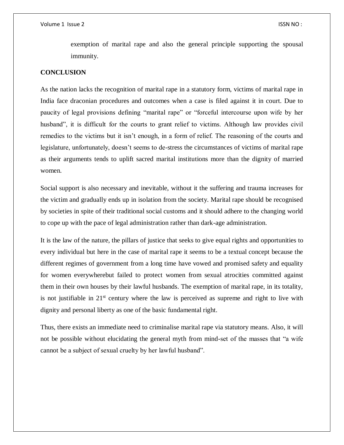exemption of marital rape and also the general principle supporting the spousal immunity.

# **CONCLUSION**

As the nation lacks the recognition of marital rape in a statutory form, victims of marital rape in India face draconian procedures and outcomes when a case is filed against it in court. Due to paucity of legal provisions defining "marital rape" or "forceful intercourse upon wife by her husband", it is difficult for the courts to grant relief to victims. Although law provides civil remedies to the victims but it isn't enough, in a form of relief. The reasoning of the courts and legislature, unfortunately, doesn't seems to de-stress the circumstances of victims of marital rape as their arguments tends to uplift sacred marital institutions more than the dignity of married women.

Social support is also necessary and inevitable, without it the suffering and trauma increases for the victim and gradually ends up in isolation from the society. Marital rape should be recognised by societies in spite of their traditional social customs and it should adhere to the changing world to cope up with the pace of legal administration rather than dark-age administration.

It is the law of the nature, the pillars of justice that seeks to give equal rights and opportunities to every individual but here in the case of marital rape it seems to be a textual concept because the different regimes of government from a long time have vowed and promised safety and equality for women everywherebut failed to protect women from sexual atrocities committed against them in their own houses by their lawful husbands. The exemption of marital rape, in its totality, is not justifiable in  $21<sup>st</sup>$  century where the law is perceived as supreme and right to live with dignity and personal liberty as one of the basic fundamental right.

Thus, there exists an immediate need to criminalise marital rape via statutory means. Also, it will not be possible without elucidating the general myth from mind-set of the masses that "a wife cannot be a subject of sexual cruelty by her lawful husband".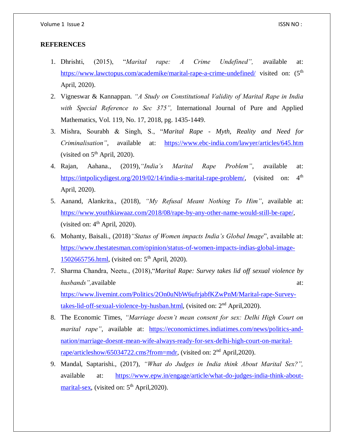# **REFERENCES**

- 1. Dhrishti, (2015), "*Marital rape: A Crime Undefined",* available at: <https://www.lawctopus.com/academike/marital-rape-a-crime-undefined/> visited on: (5<sup>th</sup>) April, 2020).
- 2. Vigneswar & Kannappan. *"A Study on Constitutional Validity of Marital Rape in India with Special Reference to Sec 375",* International Journal of Pure and Applied Mathematics, Vol. 119, No. 17, 2018, pg. 1435-1449.
- 3. Mishra, Sourabh & Singh, S., "*Marital Rape - Myth, Reality and Need for Criminalisation"*, available at: <https://www.ebc-india.com/lawyer/articles/645.htm> (visited on  $5<sup>th</sup>$  April, 2020).
- 4. Rajan, Aahana., (2019),*"India's Marital Rape Problem"*, available at: [https://intpolicydigest.org/2019/02/14/india-s-marital-rape-problem/,](https://intpolicydigest.org/2019/02/14/india-s-marital-rape-problem/) (visited on: 4<sup>th</sup> April, 2020).
- 5. Aanand, Alankrita., (2018), *"My Refusal Meant Nothing To Him"*, available at: [https://www.youthkiawaaz.com/2018/08/rape-by-any-other-name-would-still-be-rape/,](https://www.youthkiawaaz.com/2018/08/rape-by-any-other-name-would-still-be-rape/) (visited on:  $4<sup>th</sup>$  April, 2020).
- 6. Mohanty, Baisali., (2018)*"Status of Women impacts India's Global Image*", available at: [https://www.thestatesman.com/opinion/status-of-women-impacts-indias-global-image-](https://www.thestatesman.com/opinion/status-of-women-impacts-indias-global-image-1502665756.html)[1502665756.html,](https://www.thestatesman.com/opinion/status-of-women-impacts-indias-global-image-1502665756.html) (visited on: 5<sup>th</sup> April, 2020).
- 7. Sharma Chandra, Neetu., (2018),"*Marital Rape: Survey takes lid off sexual violence by husbands"*, available at: [https://www.livemint.com/Politics/2On0uNbW6ufrjabfKZwPnM/Marital-rape-Survey](https://www.livemint.com/Politics/2On0uNbW6ufrjabfKZwPnM/Marital-rape-Survey-takes-lid-off-sexual-violence-by-husban.html)[takes-lid-off-sexual-violence-by-husban.html,](https://www.livemint.com/Politics/2On0uNbW6ufrjabfKZwPnM/Marital-rape-Survey-takes-lid-off-sexual-violence-by-husban.html) (visited on: 2<sup>nd</sup> April, 2020).
- 8. The Economic Times, *"Marriage doesn't mean consent for sex: Delhi High Court on marital rape"*, available at: [https://economictimes.indiatimes.com/news/politics-and](https://economictimes.indiatimes.com/news/politics-and-nation/marriage-doesnt-mean-wife-always-ready-for-sex-delhi-high-court-on-marital-rape/articleshow/65034722.cms?from=mdr)[nation/marriage-doesnt-mean-wife-always-ready-for-sex-delhi-high-court-on-marital](https://economictimes.indiatimes.com/news/politics-and-nation/marriage-doesnt-mean-wife-always-ready-for-sex-delhi-high-court-on-marital-rape/articleshow/65034722.cms?from=mdr)[rape/articleshow/65034722.cms?from=mdr,](https://economictimes.indiatimes.com/news/politics-and-nation/marriage-doesnt-mean-wife-always-ready-for-sex-delhi-high-court-on-marital-rape/articleshow/65034722.cms?from=mdr) (visited on: 2<sup>nd</sup> April, 2020).
- 9. Mandal, Saptarishi., (2017), *"What do Judges in India think About Marital Sex?",* available at: [https://www.epw.in/engage/article/what-do-judges-india-think-about](https://www.epw.in/engage/article/what-do-judges-india-think-about-marital-sex)[marital-sex,](https://www.epw.in/engage/article/what-do-judges-india-think-about-marital-sex) (visited on:  $5<sup>th</sup>$  April, 2020).